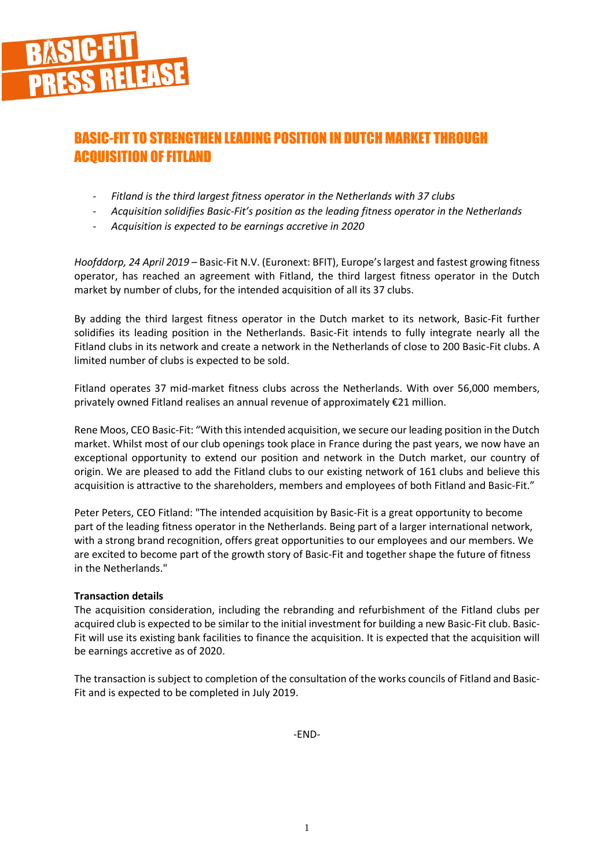

# BASIC-FIT TO STRENGTHEN LEADING POSITION IN DUTCH MARKET THROUGH ACQUISITION OF FITLAND

- *Fitland is the third largest fitness operator in the Netherlands with 37 clubs*
- *Acquisition solidifies Basic-Fit's position as the leading fitness operator in the Netherlands*
- *Acquisition is expected to be earnings accretive in 2020*

*Hoofddorp, 24 April 2019 –* Basic-Fit N.V. (Euronext: BFIT), Europe's largest and fastest growing fitness operator, has reached an agreement with Fitland, the third largest fitness operator in the Dutch market by number of clubs, for the intended acquisition of all its 37 clubs.

By adding the third largest fitness operator in the Dutch market to its network, Basic-Fit further solidifies its leading position in the Netherlands. Basic-Fit intends to fully integrate nearly all the Fitland clubs in its network and create a network in the Netherlands of close to 200 Basic-Fit clubs. A limited number of clubs is expected to be sold.

Fitland operates 37 mid-market fitness clubs across the Netherlands. With over 56,000 members, privately owned Fitland realises an annual revenue of approximately €21 million.

Rene Moos, CEO Basic-Fit: "With this intended acquisition, we secure our leading position in the Dutch market. Whilst most of our club openings took place in France during the past years, we now have an exceptional opportunity to extend our position and network in the Dutch market, our country of origin. We are pleased to add the Fitland clubs to our existing network of 161 clubs and believe this acquisition is attractive to the shareholders, members and employees of both Fitland and Basic-Fit."

Peter Peters, CEO Fitland: "The intended acquisition by Basic-Fit is a great opportunity to become part of the leading fitness operator in the Netherlands. Being part of a larger international network, with a strong brand recognition, offers great opportunities to our employees and our members. We are excited to become part of the growth story of Basic-Fit and together shape the future of fitness in the Netherlands."

# **Transaction details**

The acquisition consideration, including the rebranding and refurbishment of the Fitland clubs per acquired club is expected to be similar to the initial investment for building a new Basic-Fit club. Basic-Fit will use its existing bank facilities to finance the acquisition. It is expected that the acquisition will be earnings accretive as of 2020.

The transaction is subject to completion of the consultation of the works councils of Fitland and Basic-Fit and is expected to be completed in July 2019.

-END-